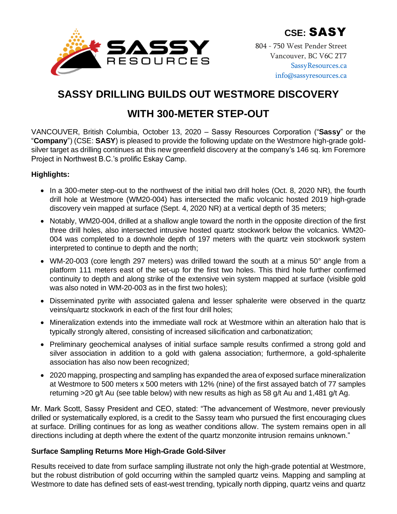

804 - 750 West Pender Street Vancouver, BC V6C 2T7 [SassyResources.ca](http://www.sassyresources.ca/) [info@sassyresources.ca](mailto:info@sassyresources.ca)

# **SASSY DRILLING BUILDS OUT WESTMORE DISCOVERY**

# **WITH 300-METER STEP-OUT**

VANCOUVER, British Columbia, October 13, 2020 – Sassy Resources Corporation ("**Sassy**" or the "**Company**") (CSE: **SASY**) is pleased to provide the following update on the Westmore high-grade goldsilver target as drilling continues at this new greenfield discovery at the company's 146 sq. km Foremore Project in Northwest B.C.'s prolific Eskay Camp.

# **Highlights:**

- In a 300-meter step-out to the northwest of the initial two drill holes (Oct. 8, 2020 NR), the fourth drill hole at Westmore (WM20-004) has intersected the mafic volcanic hosted 2019 high-grade discovery vein mapped at surface (Sept. 4, 2020 NR) at a vertical depth of 35 meters;
- Notably, WM20-004, drilled at a shallow angle toward the north in the opposite direction of the first three drill holes, also intersected intrusive hosted quartz stockwork below the volcanics. WM20- 004 was completed to a downhole depth of 197 meters with the quartz vein stockwork system interpreted to continue to depth and the north;
- WM-20-003 (core length 297 meters) was drilled toward the south at a minus 50° angle from a platform 111 meters east of the set-up for the first two holes. This third hole further confirmed continuity to depth and along strike of the extensive vein system mapped at surface (visible gold was also noted in WM-20-003 as in the first two holes);
- Disseminated pyrite with associated galena and lesser sphalerite were observed in the quartz veins/quartz stockwork in each of the first four drill holes;
- Mineralization extends into the immediate wall rock at Westmore within an alteration halo that is typically strongly altered, consisting of increased silicification and carbonatization;
- Preliminary geochemical analyses of initial surface sample results confirmed a strong gold and silver association in addition to a gold with galena association; furthermore, a gold-sphalerite association has also now been recognized;
- 2020 mapping, prospecting and sampling has expanded the area of exposed surface mineralization at Westmore to 500 meters x 500 meters with 12% (nine) of the first assayed batch of 77 samples returning >20 g/t Au (see table below) with new results as high as 58 g/t Au and 1,481 g/t Ag.

Mr. Mark Scott, Sassy President and CEO, stated: "The advancement of Westmore, never previously drilled or systematically explored, is a credit to the Sassy team who pursued the first encouraging clues at surface. Drilling continues for as long as weather conditions allow. The system remains open in all directions including at depth where the extent of the quartz monzonite intrusion remains unknown."

## **Surface Sampling Returns More High-Grade Gold-Silver**

Results received to date from surface sampling illustrate not only the high-grade potential at Westmore, but the robust distribution of gold occurring within the sampled quartz veins. Mapping and sampling at Westmore to date has defined sets of east-west trending, typically north dipping, quartz veins and quartz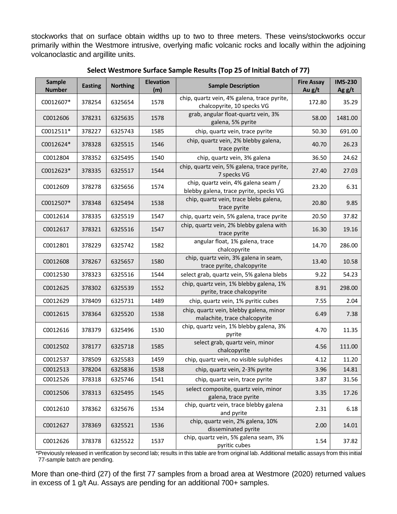stockworks that on surface obtain widths up to two to three meters. These veins/stockworks occur primarily within the Westmore intrusive, overlying mafic volcanic rocks and locally within the adjoining volcanoclastic and argillite units.

| <b>Sample</b><br><b>Number</b> | <b>Easting</b> | <b>Northing</b> | <b>Elevation</b><br>(m) | <b>Sample Description</b>                                                     | <b>Fire Assay</b><br>Au $g/t$ | <b>IMS-230</b><br>Ag $g/t$ |
|--------------------------------|----------------|-----------------|-------------------------|-------------------------------------------------------------------------------|-------------------------------|----------------------------|
| C0012607*                      | 378254         | 6325654         | 1578                    | chip, quartz vein, 4% galena, trace pyrite,<br>chalcopyrite, 10 specks VG     | 172.80                        | 35.29                      |
| C0012606                       | 378231         | 6325635         | 1578                    | grab, angular float-quartz vein, 3%<br>galena, 5% pyrite                      | 58.00                         | 1481.00                    |
| C0012511*                      | 378227         | 6325743         | 1585                    | chip, quartz vein, trace pyrite                                               | 50.30                         | 691.00                     |
| C0012624*                      | 378328         | 6325515         | 1546                    | chip, quartz vein, 2% blebby galena,<br>trace pyrite                          | 40.70                         | 26.23                      |
| C0012804                       | 378352         | 6325495         | 1540                    | chip, quartz vein, 3% galena                                                  | 36.50                         | 24.62                      |
| C0012623*                      | 378335         | 6325517         | 1544                    | chip, quartz vein, 5% galena, trace pyrite,<br>7 specks VG                    | 27.40                         | 27.03                      |
| C0012609                       | 378278         | 6325656         | 1574                    | chip, quartz vein, 4% galena seam /<br>blebby galena, trace pyrite, specks VG | 23.20                         | 6.31                       |
| C0012507*                      | 378348         | 6325494         | 1538                    | chip, quartz vein, trace blebs galena,<br>trace pyrite                        | 20.80                         | 9.85                       |
| C0012614                       | 378335         | 6325519         | 1547                    | chip, quartz vein, 5% galena, trace pyrite                                    | 20.50                         | 37.82                      |
| C0012617                       | 378321         | 6325516         | 1547                    | chip, quartz vein, 2% blebby galena with<br>trace pyrite                      | 16.30                         | 19.16                      |
| C0012801                       | 378229         | 6325742         | 1582                    | angular float, 1% galena, trace<br>chalcopyrite                               | 14.70                         | 286.00                     |
| C0012608                       | 378267         | 6325657         | 1580                    | chip, quartz vein, 3% galena in seam,<br>trace pyrite, chalcopyrite           | 13.40                         | 10.58                      |
| C0012530                       | 378323         | 6325516         | 1544                    | select grab, quartz vein, 5% galena blebs                                     | 9.22                          | 54.23                      |
| C0012625                       | 378302         | 6325539         | 1552                    | chip, quartz vein, 1% blebby galena, 1%<br>pyrite, trace chalcopyrite         | 8.91                          | 298.00                     |
| C0012629                       | 378409         | 6325731         | 1489                    | chip, quartz vein, 1% pyritic cubes                                           | 7.55                          | 2.04                       |
| C0012615                       | 378364         | 6325520         | 1538                    | chip, quartz vein, blebby galena, minor<br>malachite, trace chalcopyrite      | 6.49                          | 7.38                       |
| C0012616                       | 378379         | 6325496         | 1530                    | chip, quartz vein, 1% blebby galena, 3%<br>pyrite                             | 4.70                          | 11.35                      |
| C0012502                       | 378177         | 6325718         | 1585                    | select grab, quartz vein, minor<br>chalcopyrite                               | 4.56                          | 111.00                     |
| C0012537                       | 378509         | 6325583         | 1459                    | chip, quartz vein, no visible sulphides                                       | 4.12                          | 11.20                      |
| C0012513                       | 378204         | 6325836         | 1538                    | chip, quartz vein, 2-3% pyrite                                                | 3.96                          | 14.81                      |
| C0012526                       | 378318         | 6325746         | 1541                    | chip, quartz vein, trace pyrite                                               | 3.87                          | 31.56                      |
| C0012506                       | 378313         | 6325495         | 1545                    | select composite, quartz vein, minor<br>galena, trace pyrite                  | 3.35                          | 17.26                      |
| C0012610                       | 378362         | 6325676         | 1534                    | chip, quartz vein, trace blebby galena<br>and pyrite                          | 2.31                          | 6.18                       |
| C0012627                       | 378369         | 6325521         | 1536                    | chip, quartz vein, 2% galena, 10%<br>disseminated pyrite                      | 2.00                          | 14.01                      |
| C0012626                       | 378378         | 6325522         | 1537                    | chip, quartz vein, 5% galena seam, 3%<br>pyritic cubes                        | 1.54                          | 37.82                      |

**Select Westmore Surface Sample Results (Top 25 of Initial Batch of 77)**

\*Previously released in verification by second lab; results in this table are from original lab. Additional metallic assays from this initial 77-sample batch are pending.

More than one-third (27) of the first 77 samples from a broad area at Westmore (2020) returned values in excess of 1 g/t Au. Assays are pending for an additional 700+ samples.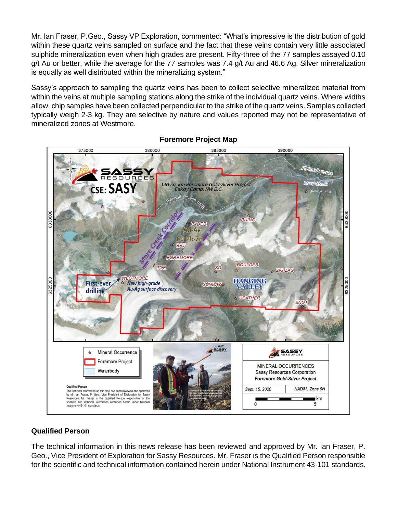Mr. Ian Fraser, P.Geo., Sassy VP Exploration, commented: "What's impressive is the distribution of gold within these quartz veins sampled on surface and the fact that these veins contain very little associated sulphide mineralization even when high grades are present. Fifty-three of the 77 samples assayed 0.10 g/t Au or better, while the average for the 77 samples was 7.4 g/t Au and 46.6 Ag. Silver mineralization is equally as well distributed within the mineralizing system."

Sassy's approach to sampling the quartz veins has been to collect selective mineralized material from within the veins at multiple sampling stations along the strike of the individual quartz veins. Where widths allow, chip samples have been collected perpendicular to the strike of the quartz veins. Samples collected typically weigh 2-3 kg. They are selective by nature and values reported may not be representative of mineralized zones at Westmore.



### **Foremore Project Map**

### **Qualified Person**

The technical information in this news release has been reviewed and approved by Mr. Ian Fraser, P. Geo., Vice President of Exploration for Sassy Resources. Mr. Fraser is the Qualified Person responsible for the scientific and technical information contained herein under National Instrument 43-101 standards.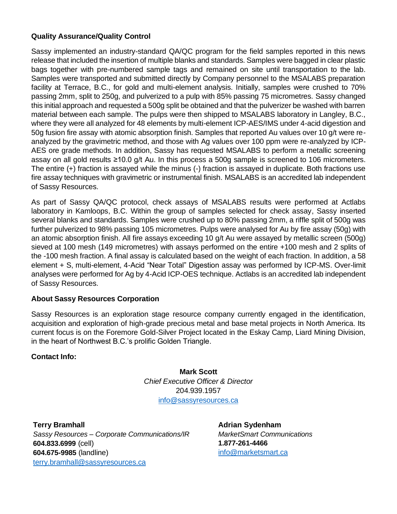### **Quality Assurance/Quality Control**

Sassy implemented an industry-standard QA/QC program for the field samples reported in this news release that included the insertion of multiple blanks and standards. Samples were bagged in clear plastic bags together with pre-numbered sample tags and remained on site until transportation to the lab. Samples were transported and submitted directly by Company personnel to the MSALABS preparation facility at Terrace, B.C., for gold and multi-element analysis. Initially, samples were crushed to 70% passing 2mm, split to 250g, and pulverized to a pulp with 85% passing 75 micrometres. Sassy changed this initial approach and requested a 500g split be obtained and that the pulverizer be washed with barren material between each sample. The pulps were then shipped to MSALABS laboratory in Langley, B.C., where they were all analyzed for 48 elements by multi-element ICP-AES/IMS under 4-acid digestion and 50g fusion fire assay with atomic absorption finish. Samples that reported Au values over 10 g/t were reanalyzed by the gravimetric method, and those with Ag values over 100 ppm were re-analyzed by ICP-AES ore grade methods. In addition, Sassy has requested MSALABS to perform a metallic screening assay on all gold results ≥10.0 g/t Au. In this process a 500g sample is screened to 106 micrometers. The entire (+) fraction is assayed while the minus (-) fraction is assayed in duplicate. Both fractions use fire assay techniques with gravimetric or instrumental finish. MSALABS is an accredited lab independent of Sassy Resources.

As part of Sassy QA/QC protocol, check assays of MSALABS results were performed at Actlabs laboratory in Kamloops, B.C. Within the group of samples selected for check assay, Sassy inserted several blanks and standards. Samples were crushed up to 80% passing 2mm, a riffle split of 500g was further pulverized to 98% passing 105 micrometres. Pulps were analysed for Au by fire assay (50g) with an atomic absorption finish. All fire assays exceeding 10 g/t Au were assayed by metallic screen (500g) sieved at 100 mesh (149 micrometres) with assays performed on the entire +100 mesh and 2 splits of the -100 mesh fraction. A final assay is calculated based on the weight of each fraction. In addition, a 58 element + S, multi-element, 4-Acid "Near Total" Digestion assay was performed by ICP-MS. Over-limit analyses were performed for Ag by 4-Acid ICP-OES technique. Actlabs is an accredited lab independent of Sassy Resources.

#### **About Sassy Resources Corporation**

Sassy Resources is an exploration stage resource company currently engaged in the identification, acquisition and exploration of high-grade precious metal and base metal projects in North America. Its current focus is on the Foremore Gold-Silver Project located in the Eskay Camp, Liard Mining Division, in the heart of Northwest B.C.'s prolific Golden Triangle.

#### **Contact Info:**

**Mark Scott** *Chief Executive Officer & Director* 204.939.1957 [info@sassyresources.ca](mailto:info@sassyresources.ca)

**Terry Bramhall** *Sassy Resources – Corporate Communications/IR* **604.833.6999** (cell) **604.675-9985** (landline) [terry.bramhall@sassyresources.ca](mailto:terry.bramhall@sassyresources.ca)

**Adrian Sydenham** *MarketSmart Communications* **1.877-261-4466** [info@marketsmart.ca](mailto:info@marketsmart.ca)